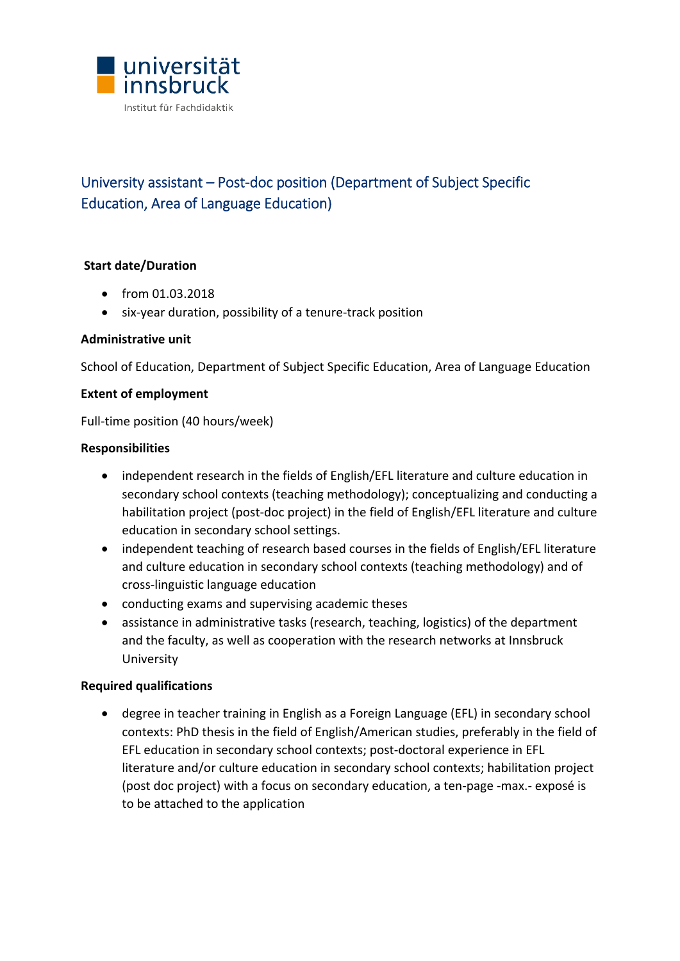

# University assistant – Post‐doc position (Department of Subject Specific Education, Area of Language Education)

# **Start date/Duration**

- from 01.03.2018
- six-year duration, possibility of a tenure-track position

### **Administrative unit**

School of Education, Department of Subject Specific Education, Area of Language Education

### **Extent of employment**

Full-time position (40 hours/week)

### **Responsibilities**

- independent research in the fields of English/EFL literature and culture education in secondary school contexts (teaching methodology); conceptualizing and conducting a habilitation project (post-doc project) in the field of English/EFL literature and culture education in secondary school settings.
- independent teaching of research based courses in the fields of English/EFL literature and culture education in secondary school contexts (teaching methodology) and of cross‐linguistic language education
- conducting exams and supervising academic theses
- assistance in administrative tasks (research, teaching, logistics) of the department and the faculty, as well as cooperation with the research networks at Innsbruck University

### **Required qualifications**

 degree in teacher training in English as a Foreign Language (EFL) in secondary school contexts: PhD thesis in the field of English/American studies, preferably in the field of EFL education in secondary school contexts; post-doctoral experience in EFL literature and/or culture education in secondary school contexts; habilitation project (post doc project) with a focus on secondary education, a ten‐page ‐max.‐ exposé is to be attached to the application